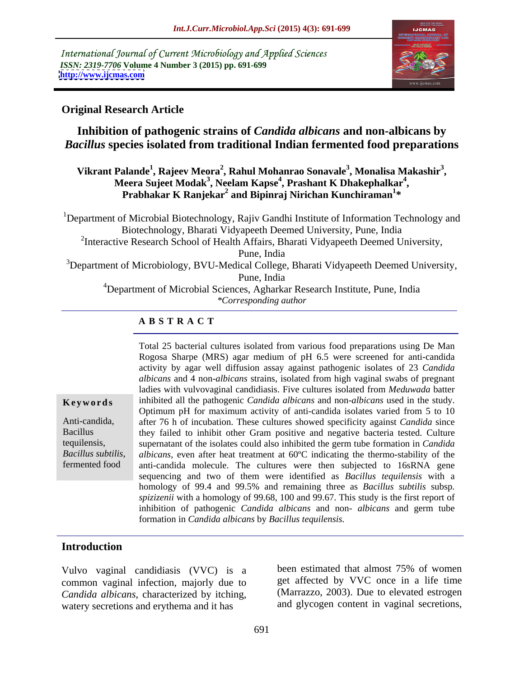International Journal of Current Microbiology and Applied Sciences *ISSN: 2319-7706* **Volume 4 Number 3 (2015) pp. 691-699 <http://www.ijcmas.com>**



### **Original Research Article**

## **Inhibition of pathogenic strains of** *Candida albicans* **and non-albicans by**  *Bacillus* **species isolated from traditional Indian fermented food preparations**

### $V$ ikrant Palande<sup>1</sup>, Rajeev Meora<sup>2</sup>, Rahul Mohanrao Sonavale<sup>3</sup>, Monalisa Makashir<sup>3</sup>, **, Monalisa Makashir<sup>3</sup>** Palande<sup>1</sup>, Rajeev Meora<sup>2</sup>, Rahul Mohanrao Sonavale<sup>3</sup>, Monalisa Makashir<sup>3</sup>,<br>Meera Sujeet Modak<sup>3</sup>, Neelam Kapse<sup>4</sup>, Prashant K Dhakephalkar<sup>4</sup>, leera Sujeet Modak<sup>3</sup>, Neelam Kapse<sup>4</sup>, Prashant K Dhakephalkar<sup>4</sup>,<br>Prabhakar K Ranjekar<sup>2</sup> and Bipinraj Nirichan Kunchiraman<sup>1</sup>\* **\***

<sup>1</sup>Department of Microbial Biotechnology, Rajiv Gandhi Institute of Information Technology and Biotechnology, Bharati Vidyapeeth Deemed University, Pune, India <sup>2</sup>Interactive Research School of Health Affairs, Bharati Vidyapeeth Deemed University, Pune, India  $3D$ epartment of Microbiology, BVU-Medical College, Bharati Vidyapeeth Deemed University, Pune, India

<sup>4</sup>Department of Microbial Sciences, Agharkar Research Institute, Pune, India *\*Corresponding author*

### **A B S T R A C T**

*Bacillus subtilis*, fermented food

Total 25 bacterial cultures isolated from various food preparations using De Man Rogosa Sharpe (MRS) agar medium of pH 6.5 were screened for anti-candida activity by agar well diffusion assay against pathogenic isolates of 23 *Candida albicans* and 4 non-*albicans* strains, isolated from high vaginal swabs of pregnant ladies with vulvovaginal candidiasis. Five cultures isolated from *Meduwada* batter **Keywords** inhibited all the pathogenic *Candida albicans* and non-*albicans* used in the study. Optimum pH for maximum activity of anti-candida isolates varied from 5 to 10 Anti-candida, after 76 h of incubation. These cultures showed specificity against *Candida* since Bacillus they failed to inhibit other Gram positive and negative bacteria tested. Culture supernatant of the isolates could also inhibited the germ tube formation in *Candida*  tequilensis, *albicans*, even after heat treatment at 60ºC indicating the thermo-stability of the anti-candida molecule. The cultures were then subjected to 16sRNA gene sequencing and two of them were identified as *Bacillus tequilensis* with a homology of 99.4 and 99.5% and remaining three as *Bacillus subtilis* subsp*. spizizenii* with <sup>a</sup> homology of 99.68, <sup>100</sup> and 99.67. This study is the first report of inhibition of pathogenic *Candida albicans* and non- *albicans* and germ tube formation in *Candida albicans* by *Bacillus tequilensis.*

## **Introduction**

common vaginal infection, majorly due to *Candida albicans*, characterized by itching, watery secretions and erythema and it has

Vulvo vaginal candidiasis (VVC) is a been estimated that almost 75% of women been estimated that almost 75% of women get affected by VVC once in a life time (Marrazzo, 2003). Due to elevated estrogen and glycogen content in vaginal secretions,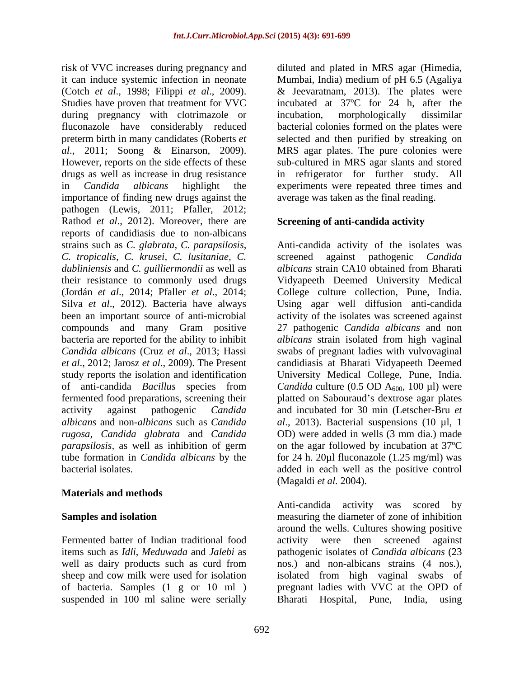risk of VVC increases during pregnancy and it can induce systemic infection in neonate Mumbai, India) medium of pH 6.5 (Agaliya (Cotch *et al.*, 1998; Filippi *et al.*, 2009). <br>Studies have proven that treatment for VVC incubated at 37°C for 24 h, after the during pregnancy with clotrimazole or incubation, morphologically dissimilar fluconazole have considerably reduced bacterial colonies formed on the plates were preterm birth in many candidates (Roberts *et*  selected and then purified by streaking on *al*., 2011; Soong & Einarson, 2009). MRS agar plates. The pure colonies were However, reports on the side effects of these sub-cultured in MRS agar slants and stored drugs as well as increase in drug resistance in refrigerator for further study. All in *Candida albicans* highlight the experiments were repeated three times and importance of finding new drugs against the pathogen (Lewis, 2011; Pfaller, 2012; Rathod *et al*., 2012). Moreover, there are reports of candidiasis due to non-albicans strains such as *C. glabrata, C. parapsilosis,* Anti-candida activity of the isolates was *C. tropicalis, C. krusei, C. lusitaniae, C. dubliniensis* and *C. guilliermondii* as well as their resistance to commonly used drugs (Jordán *et al*., 2014; Pfaller *et al*., 2014; College culture collection, Pune, India. Silva *et al*., 2012). Bacteria have always Using agar well diffusion anti-candida been an important source of anti-microbial activity of the isolates was screened against compounds and many Gram positive 27 pathogenic *Candida albicans* and non bacteria are reported for the ability to inhibit *albicans* strain isolated from high vaginal *Candida albicans* (Cruz *et al*., 2013; Hassi swabs of pregnant ladies with vulvovaginal *et al*., 2012; Jarosz *et al*., 2009). The Present candidiasis at Bharati Vidyapeeth Deemed study reports the isolation and identification University Medical College, Pune, India. of anti-candida *Bacillus* species from *Candida* culture (0.5 OD A<sub>600</sub>, 100 µl) were fermented food preparations, screening their activity against pathogenic *Candida*  and incubated for 30 min (Letscher-Bru *et albicans* and non-*albicans* such as *Candida rugosa, Candida glabrata* and *Candida* OD) were added in wells (3 mm dia.) made *parapsilosis,* as well as inhibition of germ on the agar followed by incubation at 37ºC tube formation in *Candida albicans* by the for 24 h. 20µl fluconazole (1.25 mg/ml) was bacterial isolates. added in each well as the positive control

### **Materials and methods**

well as dairy products such as curd from suspended in 100 ml saline were serially a Bharati Hospital, Pune, India, using

diluted and plated in MRS agar (Himedia, & Jeevaratnam, 2013). The plates were incubated at 37ºC for 24 h, after the incubation, morphologically dissimilar MRS agar plates. The pure colonies were sub-cultured in MRS agar slants and stored in refrigerator for further study. average was taken as the final reading.

### **Screening of anti-candida activity**

screened against pathogenic *Candida albicans* strain CA10 obtained from Bharati Vidyapeeth Deemed University Medical platted on Sabouraud's dextrose agar plates *al*., 2013). Bacterial suspensions (10 µl, 1 (Magaldi *et al.* 2004).

**Samples and isolation** measuring the diameter of zone of inhibition Fermented batter of Indian traditional food activity were then screened against items such as *Idli*, *Meduwada* and *Jalebi* as pathogenic isolates of *Candida albicans* (23 sheep and cow milk were used for isolation isolated from high vaginal swabs of of bacteria. Samples (1 g or 10 ml ) pregnant ladies with VVC at the OPD of Anti-candida activity was scored by around the wells. Cultures showing positive nos.) and non-albicans strains (4 nos.), Bharati Hospital, Pune, India,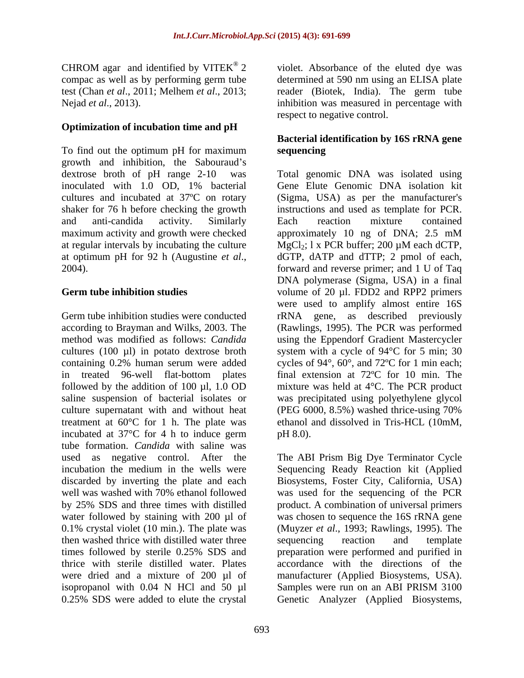CHROM agar and identified by VITEK® 2

### **Optimization of incubation time and pH**

To find out the optimum pH for maximum sequencing growth and inhibition, the Sabouraud's dextrose broth of pH range 2-10 was inoculated with 1.0 OD, 1% bacterial maximum activity and growth were checked approximately 10 ng of DNA; 2.5 mM at regular intervals by incubating the culture  $MgCl_2$ ; 1 x PCR buffer; 200  $\mu$ M each dCTP,

Germ tube inhibition studies were conducted rRNA gene, as described previously according to Brayman and Wilks, 2003. The (Rawlings, 1995). The PCR was performed method was modified as follows: *Candida* using the Eppendorf Gradient Mastercycler cultures (100 µl) in potato dextrose broth system with a cycle of 94°C for 5 min; 30 containing 0.2% human serum were added cycles of 94°, 60°, and 72ºC for1 min each; in treated 96-well flat-bottom plates final extension at 72ºC for 10 min. The followed by the addition of 100  $\mu$ l, 1.0 OD mixture was held at 4 $\rm ^{o}C$ . The PCR product saline suspension of bacterial isolates or culture supernatant with and without heat (PEG 6000, 8.5%) washed thrice-using 70% treatment at 60°C for 1 h. The plate was incubated at  $37^{\circ}$ C for 4 h to induce germ pH 8.0). tube formation. *Candida* with saline was used as negative control. After the The ABI Prism Big Dye Terminator Cycle incubation the medium in the wells were Sequencing Ready Reaction kit (Applied discarded by inverting the plate and each Biosystems, Foster City, California, USA) well was washed with 70% ethanol followed was used for the sequencing of the PCR by 25% SDS and three times with distilled product. A combination of universal primers water followed by staining with 200 µl of was chosen to sequence the 16S rRNA gene 0.1% crystal violet (10 min.). The plate was (Muyzer *et al*., 1993; Rawlings, 1995). The then washed thrice with distilled water three sequencing reaction and template times followed by sterile 0.25% SDS and preparation were performed and purified in thrice with sterile distilled water. Plates accordance with the directions of the were dried and a mixture of 200 µl of manufacturer (Applied Biosystems, USA). isopropanol with 0.04 N HCl and 50 µl Samples were run on an ABI PRISM 3100 0.25% SDS were added to elute the crystal Genetic Analyzer (Applied Biosystems,

693

compac as well as by performing germ tube determined at 590 nm using an ELISA plate test (Chan *et al*., 2011; Melhem *et al*., 2013; reader (Biotek, India). The germ tube Nejad *et al.*, 2013). This inhibition was measured in percentage with violet. Absorbance of the eluted dye was respect to negative control.

### **Bacterial identification by 16S rRNA gene sequencing**

dextrose broth of pH range 2-10 was Total genomic DNA was isolated using cultures and incubated at 37ºC on rotary (Sigma, USA) as per the manufacturer's shaker for 76 h before checking the growth instructions and used as template for PCR. and anti-candida activity. Similarly at optimum pH for 92 h (Augustine *et al.*, dGTP, dATP and dTTP; 2 pmol of each, forward and reverse primer; and 1 U of Taq **Germ tube inhibition studies** volume of 20 µl. FDD2 and RPP2 primers Gene Elute Genomic DNA isolation kit Each reaction mixture contained approximately 10 ng of DNA; 2.5 mM MgCl2; l x PCR buffer; 200 µM each dCTP, dGTP, dATP and dTTP; 2 pmol of each, forward and reverse primer; and 1 U of Taq DNA polymerase (Sigma, USA) in a final were used to amplify almost entire 16S was precipitated using polyethylene glycol (PEG 6000, 8.5%) washed thrice-using 70% ethanol and dissolved in Tris-HCL (10mM, pH 8.0).

> sequencing reaction and template Samples were run on an ABI PRISM 3100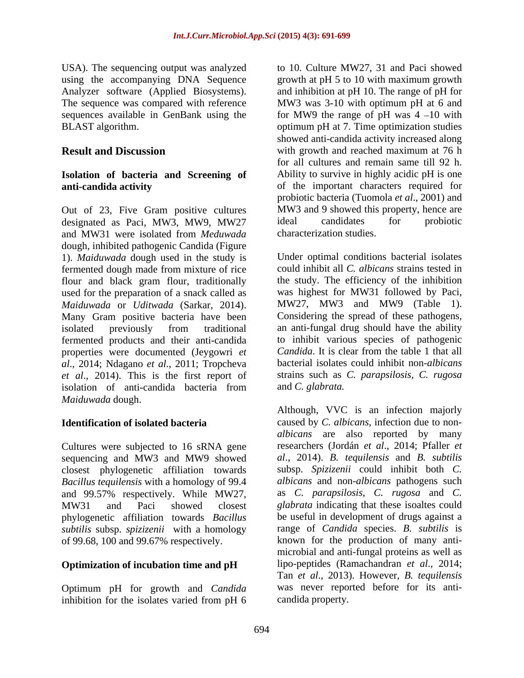USA). The sequencing output was analyzed

# **Isolation of bacteria and Screening of**

Out of 23, Five Gram positive cultures MW3 and 9 showed this proper<br>designated as Paci. MW3 MW9 MW27 ideal candidates for designated as Paci, MW3, MW9, MW27 ideal candidates for probiotic and MW31 were isolated from *Meduwada* dough, inhibited pathogenic Candida (Figure 1). *Maiduwada* dough used in the study is fermented dough made from mixture of rice flour and black gram flour, traditionally used for the preparation of a snack called as *Maiduwada* or *Uditwada* (Sarkar, 2014). Many Gram positive bacteria have been fermented products and their anti-candida<br>
to inhibit various species of pathogenic<br>
properties were documented (Jevgowri et Candida. It is clear from the table 1 that all properties were documented (Jeygowri *et al*., 2014; Ndagano *et al*., 2011; Tropcheva *et al*., 2014). This is the first report of isolation of anti-candida bacteria from *Maiduwada* dough.

Cultures were subjected to 16 sRNA gene sequencing and MW3 and MW9 showed closest phylogenetic affiliation towards *Bacillus tequilensis* with a homology of 99.4 and 99.57% respectively. While MW27, phylogenetic affiliation towards *Bacillus subtilis* subsp. *spizizenii* with a homology of 99.68, 100 and 99.67% respectively.

# **Optimization of incubation time and pH**

Optimum pH for growth and *Candida* inhibition for the isolates varied from pH 6

using the accompanying DNA Sequence growth at pH 5 to 10 with maximum growth Analyzer software (Applied Biosystems). and inhibition at pH 10. The range of pH for The sequence was compared with reference MW3 was 3-10 with optimum pH at 6 and sequences available in GenBank using the  $\qquad$  for MW9 the range of pH was 4 -10 with BLAST algorithm. optimum pH at 7. Time optimization studies **Result and Discussion** with growth and reached maximum at 76 h **anti-candida activity** and **of** the important characters required for to 10. Culture MW27, 31 and Paci showed showed anti-candida activity increased along for all cultures and remain same till 92 h. Ability to survive in highly acidic pH is one probiotic bacteria (Tuomola *et al*., 2001) and MW3 and 9 showed this property, hence are ideal candidates for probiotic characterization studies.

isolated previously from traditional Under optimal conditions bacterial isolates could inhibit all *C. albicans* strains tested in the study. The efficiency of the inhibition was highest for MW31 followed by Paci, MW27, MW3 and MW9 (Table 1). Considering the spread of these pathogens, an anti-fungal drug should have the ability to inhibit various species of pathogenic *Candida*. It is clear from the table 1 that all bacterial isolates could inhibit non-*albicans*  strains such as *C. parapsilosis*, *C. rugosa* and *C. glabrata.*

**Identification of isolated bacteria** caused by *C. albicans*, infection due to non- MW31 and Paci showed closest *glabrata* indicating that these isoaltes could Although, VVC is an infection majorly *albicans* are also reported by many researchers (Jordán *et al*., 2014; Pfaller *et al*., 2014). *B. tequilensis* and *B. subtilis* subsp. *Spizizenii* could inhibit both *C. albicans* and non-*albicans* pathogens such as *C. parapsilosis*, *C. rugosa* and *C.* be useful in development of drugs against a range of *Candida* species. *B. subtilis* is known for the production of many anti microbial and anti-fungal proteins as well as lipo-peptides (Ramachandran *et al*., 2014; Tan *et al*., 2013). However, *B. tequilensis* was never reported before for its anti candida property.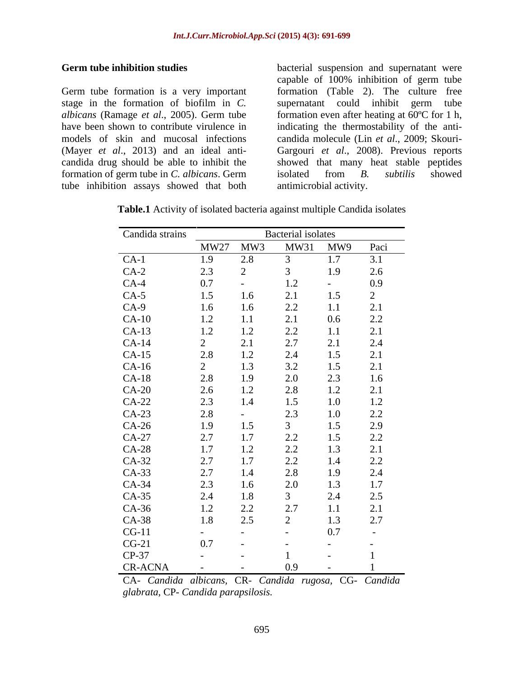Germ tube formation is a very important stage in the formation of biofilm in *C.*  supernatant could inhibit germ tube *albicans* (Ramage *et al*., 2005). Germ tube formation even after heating at 60ºC for 1 h, have been shown to contribute virulence in indicating the thermostability of the antimodels of skin and mucosal infections candida molecule (Lin *et al*., 2009; Skouri- (Mayer *et al*., 2013) and an ideal anti- Gargouri *et al*., 2008). Previous reports candida drug should be able to inhibit the showed that many heat stable peptides formation of germ tube in *C. albicans*. Germ tube inhibition assays showed that both

Germ tube inhibition studies bacterial suspension and supernatant were capable of 100% inhibition of germ tube formation (Table 2). The culture free isolated from *B. subtilis* showed antimicrobial activity.

| Candida strains |                                               | <b>Bacterial</b> isolates                          |                                                                  |                          |                                                                       |  |
|-----------------|-----------------------------------------------|----------------------------------------------------|------------------------------------------------------------------|--------------------------|-----------------------------------------------------------------------|--|
|                 | <b>MW27</b>                                   | MW3                                                | MW31                                                             | MW9                      | Paci                                                                  |  |
| $CA-1$          | 1.9                                           | $2.8\,$                                            | $\mathfrak{Z}$                                                   | 1.7                      | 3.1                                                                   |  |
| $CA-2$          | 2.3                                           |                                                    | $\mathfrak{Z}$                                                   | 1.9                      | $2.6\,$                                                               |  |
| $CA-4$          | 0.7                                           | $\overline{\phantom{a}}$                           | $1.2\,$                                                          | $\sim$                   | 0.9                                                                   |  |
| $CA-5$          | 1.5                                           | $1.6\,$                                            | 2.1                                                              | 1.5                      | $\overline{2}$                                                        |  |
| $CA-9$          | $1.6\,$                                       | $1.6\,$                                            | 2.2                                                              | $1.1\,$                  |                                                                       |  |
| $CA-10$         | 1.2                                           | 1.1                                                |                                                                  | $0.6\,$                  |                                                                       |  |
| $CA-13$         | 1.2                                           |                                                    | 2.1<br>2.2<br>2.7<br>2.4<br>3.2<br>2.0<br>2.8<br>1.5<br>2.3<br>3 |                          | $\begin{array}{c} 2.1 \\ 2.2 \\ 2.1 \\ 2.4 \\ 2.1 \\ 1.6 \end{array}$ |  |
| $CA-14$         |                                               | $1.2$<br>$2.1$<br>$1.2$<br>$1.3$<br>$1.9$<br>$1.2$ |                                                                  |                          |                                                                       |  |
| $CA-15$         | 2<br>2.8<br>2.8<br>2.6<br>2.3<br>2.8<br>2.9   |                                                    |                                                                  |                          |                                                                       |  |
| $CA-16$         |                                               |                                                    |                                                                  |                          |                                                                       |  |
| $CA-18$         |                                               |                                                    |                                                                  |                          |                                                                       |  |
| $CA-20$         |                                               |                                                    |                                                                  |                          |                                                                       |  |
| $CA-22$         |                                               | $1.4\,$                                            |                                                                  |                          | $\begin{array}{c} 2.1 \\ 1.2 \end{array}$                             |  |
| $CA-23$         |                                               | $\sim$                                             |                                                                  |                          |                                                                       |  |
| $CA-26$         |                                               | $1.5$                                              |                                                                  |                          | $2.2$ $2.9$                                                           |  |
| $CA-27$         | 2.7                                           | 1.7                                                |                                                                  |                          |                                                                       |  |
| $CA-28$         | 1.7                                           | $1.2\,$                                            |                                                                  |                          |                                                                       |  |
| $CA-32$         |                                               | $1.7\,$                                            |                                                                  |                          |                                                                       |  |
| $CA-33$         | 2.7<br>2.7<br>2.3<br>2.4<br>1.2<br>1.2<br>1.8 | $1.4\,$                                            | $2.2$<br>$2.2$<br>$2.8$<br>$2.8$<br>$2.0$<br>$3$                 |                          | 2.2<br>2.1<br>2.2<br>2.4<br>1.7<br>2.5<br>2.1                         |  |
| $CA-34$         |                                               | $1.6\,$                                            |                                                                  |                          |                                                                       |  |
| $CA-35$         |                                               | $1.8\,$                                            |                                                                  |                          |                                                                       |  |
| $CA-36$         |                                               |                                                    | 2.7                                                              | $1.1\,$                  |                                                                       |  |
| CA-38           |                                               | $2.2$<br>$2.5$                                     | $\overline{2}$                                                   | 1.3                      | 2.7                                                                   |  |
| $CG-11$         | $\sim$ $\sim$                                 |                                                    | $\sim$                                                           | $0.7\,$                  |                                                                       |  |
| $CG-21$         | 0.7                                           |                                                    |                                                                  |                          |                                                                       |  |
| $CP-37$         |                                               |                                                    |                                                                  |                          |                                                                       |  |
| CR-ACNA         | $\sim$                                        | $\sim$ $ \sim$                                     | 0.9                                                              | $\overline{\phantom{0}}$ |                                                                       |  |

**Table.1** Activity of isolated bacteria against multiple Candida isolates

CA- *Candida albicans,* CR*- Candida rugosa,* CG*- Candida glabrata*, CP*- Candida parapsilosis.*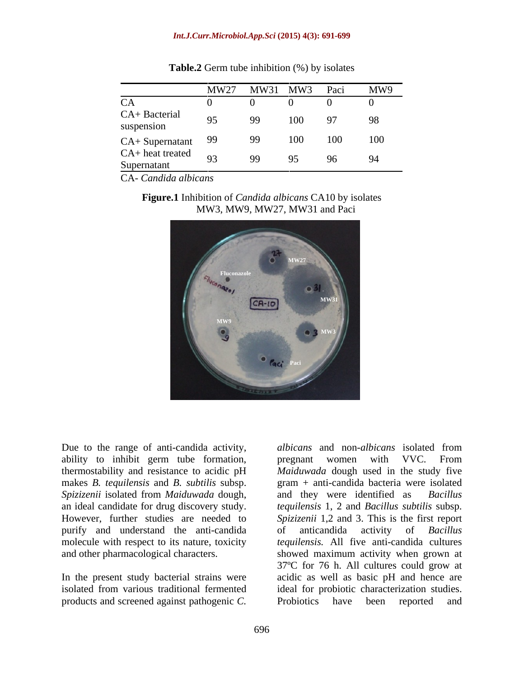### *Int.J.Curr.Microbiol.App.Sci* **(2015) 4(3): 691-699**

|                                                      | MW27           | MW31 | MW3 | Paci | MW9 |
|------------------------------------------------------|----------------|------|-----|------|-----|
| CA                                                   |                |      |     |      |     |
| CA+ Bacterial<br>suspension                          | 95             | 99   | 100 | 97   | 98  |
| $CA + {\rm {\rm {\bf {\rm Super}}\nolimits} and}$ 99 |                | 99   | 100 | 100  | 100 |
| $CA+heat$ treated<br>Supernatant                     | $\overline{q}$ | QQ   | 95  |      | 94  |

**Table.2** Germ tube inhibition (%) by isolates

CA- *Candida albicans*





ability to inhibit germ tube formation, pregnant women with VVC. From *Spizizenii* isolated from *Maiduwada* dough, purify and understand the anti-candida of anticandida activity of *Bacillus* 

products and screened against pathogenic *C.* 

Due to the range of anti-candida activity, albicans and non-albicans isolated from thermostability and resistance to acidic pH *Maiduwada* dough used in the study five makes *B. tequilensis* and *B. subtilis* subsp. gram + anti-candida bacteria were isolated an ideal candidate for drug discovery study. *tequilensis* 1, 2 and *Bacillus subtilis* subsp. However, further studies are needed to *Spizizenii* 1,2 and 3. This is the first report molecule with respect to its nature, toxicity *tequilensis.* All five anti-candida cultures and other pharmacological characters. showed maximum activity when grown at In the present study bacterial strains were acidic as well as basic pH and hence are isolated from various traditional fermented ideal for probiotic characterization studies. *albicans* and non-*albicans* isolated from pregnant women with VVC. From and they were identified as of anticandida activity of *Bacillus*  37ºC for 76 h. All cultures could grow at Probiotics have been reported and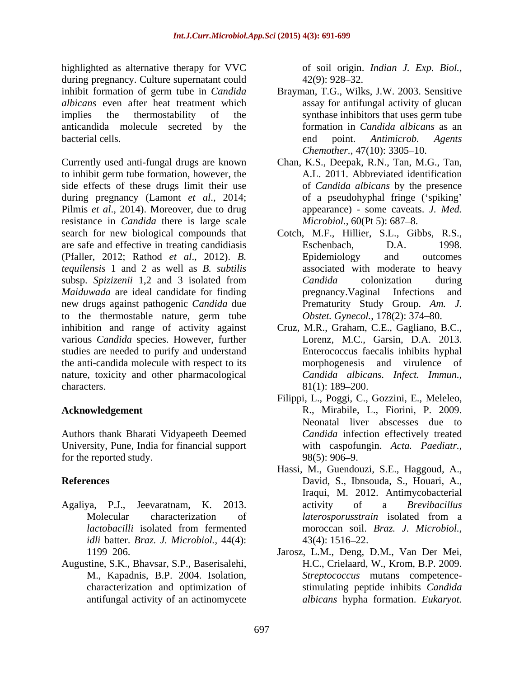highlighted as alternative therapy for VVC during pregnancy. Culture supernatant could 42(9): 928–32. inhibit formation of germ tube in *Candida* Brayman, T.G., Wilks, J.W. 2003. Sensitive *albicans* even after heat treatment which implies the thermostability of the synthase inhibitors that uses germ tube anticandida molecule secreted by the bacterial cells. **Example 2** and point. *Antimicrob. Agents* and point. *Antimicrob.* Agents

Currently used anti-fungal drugs are known Chan, K.S., Deepak, R.N., Tan, M.G., Tan, to inhibit germ tube formation, however, the side effects of these drugs limit their use during pregnancy (Lamont *et al*., 2014; Pilmis *et al*., 2014). Moreover, due to drug resistance in *Candida* there is large scale search for new biological compounds that are safe and effective in treating candidiasis Eschenbach, D.A. 1998. (Pfaller, 2012; Rathod *et al*., 2012). *B. tequilensis* 1 and 2 as well as *B. subtilis* subsp. *Spizizenii* 1,2 and 3 isolated from Candida colonization during *Maiduwada* are ideal candidate for finding pregnancy. Vaginal Infections and new drugs against pathogenic *Candida* due to the thermostable nature, germ tube inhibition and range of activity against Cruz, M.R., Graham, C.E., Gagliano, B.C., various *Candida* species. However, further studies are needed to purify and understand the anti-candida molecule with respect to its nature, toxicity and other pharmacological characters.  $81(1): 189-200.$ 

Authors thank Bharati Vidyapeeth Deemed University, Pune, India for financial support for the reported study.  $98(5): 906-9$ .

- Agaliya, P.J., Jeevaratnam, K. 2013. *idli* batter. *Braz. J. Microbiol.,* 44(4):
- Augustine, S.K., Bhavsar, S.P., Baserisalehi, characterization and optimization of

of soil origin. *Indian J. Exp. Biol.,*  $42(9)$ :  $928-32$ .

- assay for antifungal activity of glucan formation in *Candida albicans* as an end point. *Antimicrob. Agents Chemother.*, 47(10): 3305-10.
- A.L. 2011. Abbreviated identification of *Candida albicans* by the presence of a pseudohyphal fringe ('spiking' appearance) - some caveats. *J. Med. Microbiol., 60(Pt 5): 687-8.*
- Cotch, M.F., Hillier, S.L., Gibbs, R.S., Eschenbach, D.A. 1998. Epidemiology and outcomes associated with moderate to heavy *Candida* colonization during pregnancy.Vaginal Infections and Prematurity Study Group. *Am. J. Obstet. Gynecol.*, 178(2): 374-80.
- Lorenz, M.C., Garsin, D.A. 2013. Enterococcus faecalis inhibits hyphal morphogenesis and virulence of *Candida albicans. Infect. Immun.,*  $81(1)$ : 189–200.
- **Acknowledgement** R., Mirabile, L., Fiorini, P. 2009. Filippi, L., Poggi, C., Gozzini, E., Meleleo, Neonatal liver abscesses due to *Candida* infection effectively treated with caspofungin. *Acta. Paediatr.,*  $98(5)$ : 906–9.
- **References** David, S., Ibnsouda, S., Houari, A., Molecular characterization of *laterosporusstrain* isolated from a *lactobacilli* isolated from fermented moroccan soil. Braz. J. Microbiol., Hassi, M., Guendouzi, S.E., Haggoud, A., Iraqui, M. 2012. Antimycobacterial activity of a *Brevibacillus laterosporusstrain* isolated from a moroccan soil. *Braz. J. Microbiol.,*  $43(4): 1516-22.$ 
	- 1199 206. Jarosz, L.M., Deng, D.M., Van Der Mei, M., Kapadnis, B.P. 2004. Isolation, *Streptococcus* mutans competence antifungal activity of an actinomycete *albicans* hypha formation. *Eukaryot.* H.C., Crielaard, W., Krom, B.P. 2009. stimulating peptide inhibits *Candida*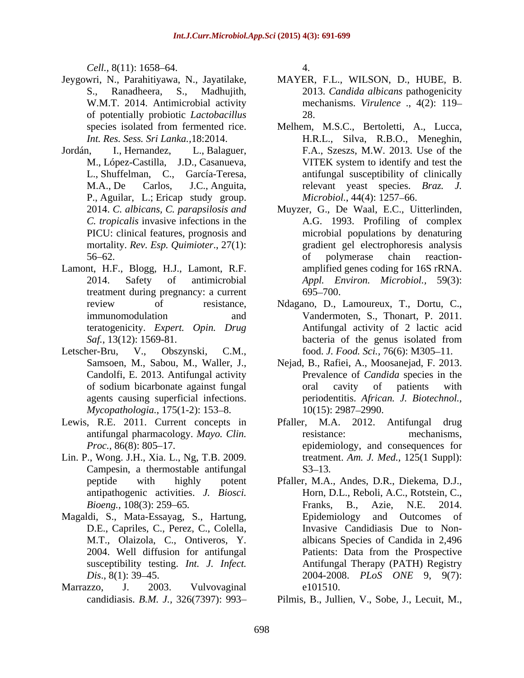*Cell.*, 8(11): 1658–64. 4.

- of potentially probiotic *Lactobacillus*
- Jordán, I., Hernandez, L., Balaguer, F.A., Szeszs, M.W. 2013. Use of the P., Aguilar, L.; Ericap study group.
- Lamont, H.F., Blogg, H.J., Lamont, R.F. treatment during pregnancy: a current 695–700.
- Letscher-Bru, V., Obszynski, C.M., food. *J. Food. Sci.*, 76(6): M305–11. *Mycopathologia.*, 175(1-2): 153–8. 10(15): 2987–2990.
- Lewis, R.E. 2011. Current concepts in Pfaller,
- Lin. P., Wong. J.H., Xia. L., Ng, T.B. 2009. Campesin, a thermostable antifungal S3–13.
- D.E., Capriles, C., Perez, C., Colella,
- Marrazzo, J. 2003. Vulvovaginal

4.

- Jeygowri, N., Parahitiyawa, N., Jayatilake, MAYER, F.L., WILSON, D., HUBE, B. S., Ranadheera, S., Madhujith, 2013. *Candida albicans* pathogenicity W.M.T. 2014. Antimicrobial activity mechanisms. *Virulence* ., 4(2): 119 28.
	- species isolated from fermented rice. Melhem, M.S.C., Bertoletti, A., Lucca, *Int. Res. Sess. Sri Lanka.,*18:2014. H.R.L., Silva, R.B.O., Meneghin, M., López-Castilla, J.D., Casanueva, L., Shuffelman, C., García-Teresa, antifungal susceptibility of clinically M.A., De Carlos, J.C., Anguita, relevant yeast species. *Braz. J.* VITEK system to identify and test the *Microbiol.*, 44(4): 1257-66.
	- 2014. *C. albicans, C. parapsilosis and* Muyzer, G., De Waal, E.C., Uitterlinden, *C. tropicalis* invasive infections in the A.G. 1993. Profiling of complex PICU: clinical features, prognosis and microbial populations by denaturing mortality. *Rev. Esp. Quimioter*., 27(1): gradient gel electrophoresis analysis 56–62. Compared to the of polymerase chain reaction-2014. Safety of antimicrobial *Appl. Environ. Microbiol.,* 59(3): of polymerase chain reaction amplified genes coding for 16S rRNA.  $695 - 700.$
	- review of resistance, Ndagano, D., Lamoureux, T., Dortu, C., immunomodulation and Vandermoten, S., Thonart, P. 2011. teratogenicity. *Expert. Opin. Drug* Antifungal activity of 2 lactic acid *Saf.*, 13(12): 1569-81. bacteria of the genus isolated from bacteria of the genus isolated from
	- Samsoen, M., Sabou, M., Waller, J., Nejad, B., Rafiei, A., Moosanejad, F. 2013. Candolfi, E. 2013. Antifungal activity Prevalence of *Candida* species in the of sodium bicarbonate against fungal agents causing superficial infections. periodentitis. *African. J. Biotechnol.,* oral cavity of patients with 10(15): 2987 2990.
	- antifungal pharmacology. *Mayo. Clin.* resistance: mechanisms, *Proc.*, 86(8): 805–17. epidemiology, and consequences for M.A. 2012. Antifungal drug resistance: mechanisms, treatment. *Am. J. Med.,* 125(1 Suppl): S3–13.
- peptide with highly potent Pfaller, M.A., Andes, D.R., Diekema, D.J., antipathogenic activities. *J. Biosci.* Horn, D.L., Reboli, A.C., Rotstein, C., *Bioeng.,* 108(3): 259–65. Franks, B., Azie, N.E. 2014. Magaldi, S., Mata-Essayag, S., Hartung, M.T., Olaizola, C., Ontiveros, Y. albicans Species of Candida in 2,496 2004. Well diffusion for antifungal susceptibility testing. *Int. J. Infect.* Antifungal Therapy (PATH) Registry *Dis*., 8(1): 39 45. 2004-2008. *PLoS ONE* 9, 9(7): Franks, B., Azie, N.E. 2014. Epidemiology and Outcomes of Invasive Candidiasis Due to Non- Patients: Data from the Prospective e101510.
	- candidiasis. *B.M. J.,* 326(7397): 993 Pilmis, B., Jullien, V., Sobe, J., Lecuit, M.,